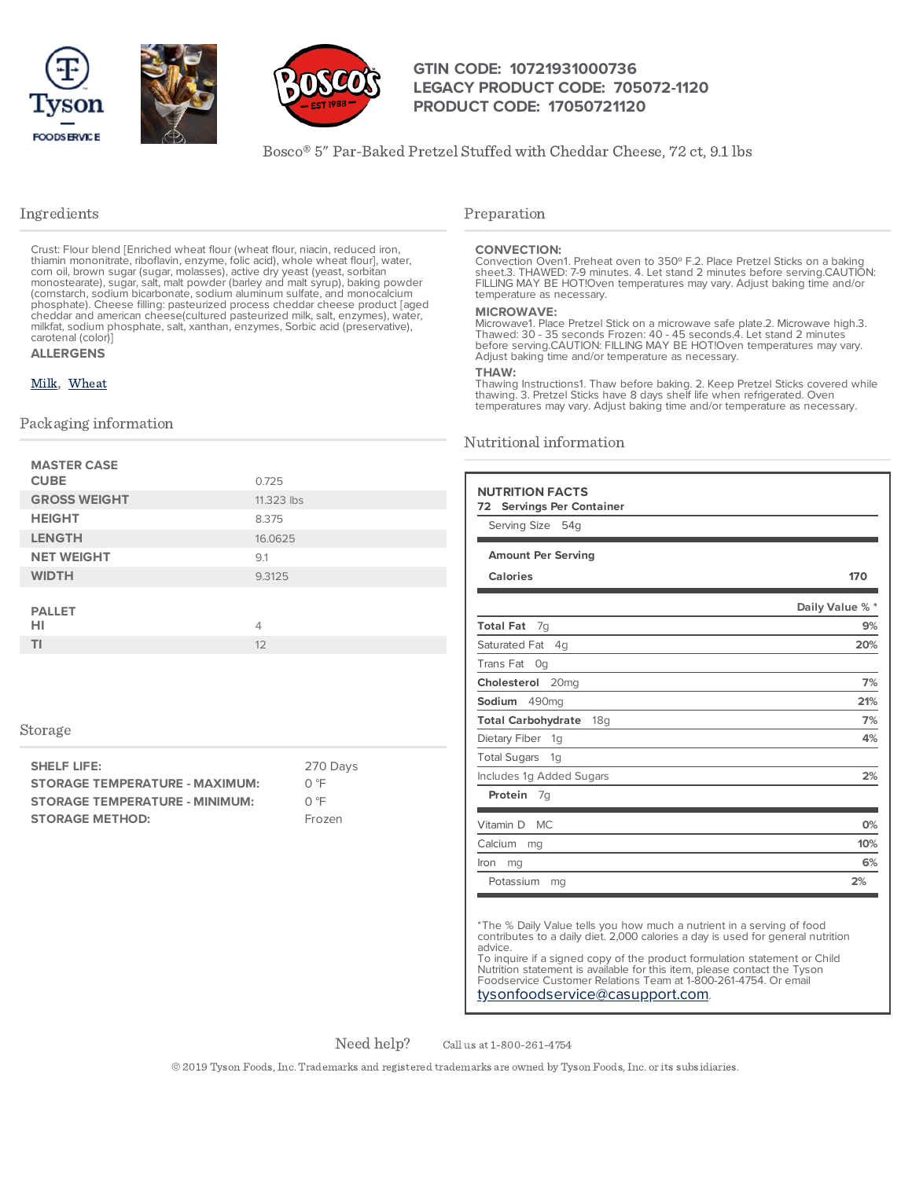



### **GTIN CODE: 10721931000736 LEGACY PRODUCT CODE: 705072-1120 PRODUCT CODE: 17050721120**

Bosco® 5" Par-Baked Pretzel Stuffed with Cheddar Cheese, 72 ct, 9.1 lbs

### Ingredients

Crust: Flour blend [Enriched wheat flour (wheat flour, niacin, reduced iron, thiamin mononitrate, riboflavin, enzyme, folic acid), whole wheat flour], water,<br>corn oil, brown sugar (sugar, molasses), active dry yeast (yeast, sorbitan<br>monostearate), sugar, salt, malt powder (barley and malt syrup), b (cornstarch, sodium bicarbonate, sodium aluminum sulfate, and monocalcium phosphate). Cheese filling: pasteurized process cheddar cheese product [aged cheddar and american cheese(cultured pasteurized milk, salt, enzymes), water, milkfat, sodium phosphate, salt, xanthan, enzymes, Sorbic acid (preservative), carotenal (color)] **ALLERGENS**

# [Milk](https://www.tysonfoodservice.com/taxonomy/term/4246), [Wheat](https://www.tysonfoodservice.com/taxonomy/term/4236)

#### Packaging information

| <b>MASTER CASE</b><br><b>CUBE</b> | 0.725      |
|-----------------------------------|------------|
| <b>GROSS WEIGHT</b>               | 11.323 lbs |
| <b>HEIGHT</b>                     | 8.375      |
| <b>LENGTH</b>                     | 16.0625    |
| <b>NET WEIGHT</b>                 | 9.1        |
| <b>WIDTH</b>                      | 9.3125     |
| <b>PALLET</b><br>HI               | 4          |
|                                   |            |
| ΤI                                | 12         |

#### Storage

| <b>SHELF LIFE:</b>                    | 270 Days |
|---------------------------------------|----------|
| <b>STORAGE TEMPERATURE - MAXIMUM:</b> | ∩ °F     |
| <b>STORAGE TEMPERATURE - MINIMUM:</b> | ∩ °F     |
| <b>STORAGE METHOD:</b>                | Frozen   |

### Preparation

#### **CONVECTION:**

Convection Oven1. Preheat oven to 350º F.2. Place Pretzel Sticks on a baking sheet.3. THAWED: 7-9 minutes. 4. Let stand 2 minutes before serving.CAUTION: FILLING MAY BE HOT!Oven temperatures may vary. Adjust baking time and/or temperature as necessary.

#### **MICROWAVE:**

Microwave1. Place Pretzel Stick on a microwave safe plate.2. Microwave high.3. Thawed: 30 - 35 seconds Frozen: 40 - 45 seconds.4. Let stand 2 minutes before serving.CAUTION: FILLING MAY BE HOT!Oven temperatures may vary. Adjust baking time and/or temperature as necessary.

#### **THAW:**

Thawing Instructions1. Thaw before baking. 2. Keep Pretzel Sticks covered while<br>thawing. 3. Pretzel Sticks have 8 days shelf life when refrigerated. Oven<br>temperatures may vary. Adjust baking time and/or temperature as nece

### Nutritional information

| <b>NUTRITION FACTS</b>                       |                 |
|----------------------------------------------|-----------------|
| <b>Servings Per Container</b><br>72          |                 |
| Serving Size<br>54g                          |                 |
| <b>Amount Per Serving</b>                    |                 |
|                                              |                 |
| <b>Calories</b>                              | 170             |
|                                              | Daily Value % * |
| <b>Total Fat</b><br>7g                       | 9%              |
| Saturated Fat<br>4q                          | 20%             |
| Trans Fat<br>Og                              |                 |
| Cholesterol 20mg                             | 7%              |
| Sodium<br>490mg                              | 21%             |
| <b>Total Carbohydrate</b><br>18 <sub>q</sub> | 7%              |
| Dietary Fiber<br>1g                          | 4%              |
| <b>Total Sugars</b><br>1g                    |                 |
| Includes 1g Added Sugars                     | 2%              |
| Protein<br>7g                                |                 |
| Vitamin D<br><b>MC</b>                       | 0%              |
| Calcium<br>mg                                | 10%             |
| Iron<br>mg                                   | 6%              |
| Potassium<br>mg                              | 2%              |

\*The % Daily Value tells you how much a nutrient in a serving of food contributes to a daily diet. 2,000 calories a day is used for general nutrition advice.

To inquire if a signed copy of the product formulation statement or Child Nutrition statement is available for this item, please contact the Tyson Foodservice Customer Relations Team at 1-800-261-4754. Or email [tysonfoodservice@casupport.com](mailto:tysonfoodservice@casupport.com).

Need help?

Call us at 1-800-261-4754

© 2019 Tyson Foods,Inc. Trademarks and registered trademarks are owned by Tyson Foods,Inc. or its subsidiaries.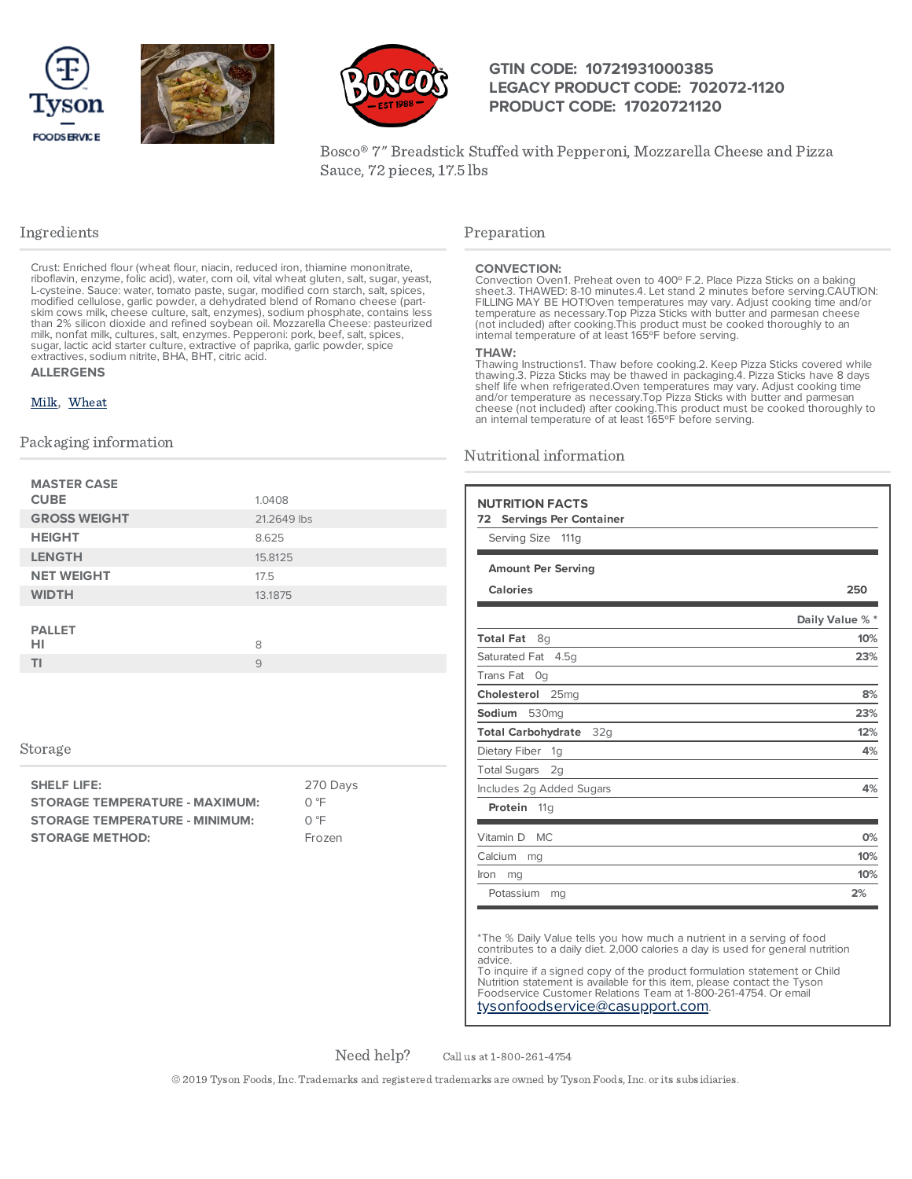





### **GTIN CODE: 10721931000385 LEGACY PRODUCT CODE: 702072-1120 PRODUCT CODE: 17020721120**

Bosco® 7" Breadstick Stuffed with Pepperoni, Mozzarella Cheese and Pizza Sauce, 72 pieces, 17.5 lbs

### Ingredients

Crust: Enriched flour (wheat flour, niacin, reduced iron, thiamine mononitrate, riboflavin, enzyme, folic acid), water, corn oil, vital wheat gluten, salt, sugar, yeast, L-cysteine. Sauce: water, tomato paste, sugar, modified corn starch, salt, spices, modified cellulose, garlic powder, a dehydrated blend of Romano cheese (partskim cows milk, cheese culture, salt, enzymes), sodium phosphate, contains less<br>than 2% silicon dioxide and refined soybean oil. Mozzarella Cheese: pasteurized<br>milk, nonfat milk, cultures, salt, enzymes. Pepperoni: pork, b sugar, lactic acid starter culture, extractive of paprika, garlic powder, spice extractives, sodium nitrite, BHA, BHT, citric acid.

#### **ALLERGENS**

#### [Milk](https://www.tysonfoodservice.com/taxonomy/term/4246), [Wheat](https://www.tysonfoodservice.com/taxonomy/term/4236)

#### Packaging information

| <b>MASTER CASE</b><br><b>CUBE</b> | 1.0408      |
|-----------------------------------|-------------|
| <b>GROSS WEIGHT</b>               | 21.2649 lbs |
| <b>HEIGHT</b>                     | 8.625       |
| <b>LENGTH</b>                     | 15.8125     |
| <b>NET WEIGHT</b>                 | 17.5        |
| <b>WIDTH</b>                      | 13.1875     |
| <b>PALLET</b><br>HI               | 8           |
| ΤI                                | 9           |

#### Storage

| SHELF LIFE:                           | 270 Days |
|---------------------------------------|----------|
| <b>STORAGE TEMPERATURE - MAXIMUM:</b> | O °F     |
| <b>STORAGE TEMPERATURE - MINIMUM:</b> | ∩℃       |
| <b>STORAGE METHOD:</b>                | Frozen   |

#### Preparation

CONVECTION:<br>Convection Oven1. Preheat oven to 400° F.2. Place Pizza Sticks on a baking sheet.3. THAWED: 8-10 minutes.4. Let stand 2 minutes before serving.CAUTION: FILLING MAY BE HOT!Oven temperatures may vary. Adjust cooking time and/or temperature as necessary.Top Pizza Sticks with butter and parmesan cheese (not included) after cooking.This product must be cooked thoroughly to an internal temperature of at least 165ºF before serving.

#### **THAW:**

Thawing Instructions1. Thaw before cooking.2. Keep Pizza Sticks covered while thawing.3. Pizza Sticks may be thawed in packaging.4. Pizza Sticks have 8 days<br>shelf life when refrigerated.Oven temperatures may vary. Adjust cooking time<br>and/or temperature as necessary.Top Pizza Sticks with butter and p cheese (not included) after cooking.This product must be cooked thoroughly to an internal temperature of at least 165°F before serving.

#### Nutritional information

| <b>NUTRITION FACTS</b><br><b>Servings Per Container</b><br>72 |                 |
|---------------------------------------------------------------|-----------------|
| Serving Size<br>111 <sub>q</sub>                              |                 |
| <b>Amount Per Serving</b>                                     |                 |
| <b>Calories</b>                                               | 250             |
|                                                               | Daily Value % * |
| <b>Total Fat</b><br>8g                                        | 10%             |
| Saturated Fat<br>4.5q                                         | 23%             |
| Trans Fat<br>Oq                                               |                 |
| Cholesterol<br>25 <sub>mg</sub>                               | 8%              |
| Sodium<br>530 <sub>mq</sub>                                   | 23%             |
| <b>Total Carbohydrate</b><br>32g                              | 12%             |
| Dietary Fiber<br>1 <sub>q</sub>                               | 4%              |
| <b>Total Sugars</b><br>2q                                     |                 |
| Includes 2g Added Sugars                                      | 4%              |
| Protein<br>11 <sub>q</sub>                                    |                 |
| Vitamin D<br>MC                                               | 0%              |
| Calcium<br>mg                                                 | 10%             |
| Iron<br>mg                                                    | 10%             |
| Potassium<br>mg                                               | 2%              |

\*The % Daily Value tells you how much a nutrient in a serving of food contributes to a daily diet. 2,000 calories a day is used for general nutrition advice.

To inquire if a signed copy of the product formulation statement or Child Nutrition statement is available for this item, please contact the Tyson Foodservice Customer Relations Team at 1-800-261-4754. Or email [tysonfoodservice@casupport.com](mailto:tysonfoodservice@casupport.com).

Need help?

Call us at 1-800-261-4754

© 2019 Tyson Foods,Inc. Trademarks and registered trademarks are owned by Tyson Foods,Inc. or its subsidiaries.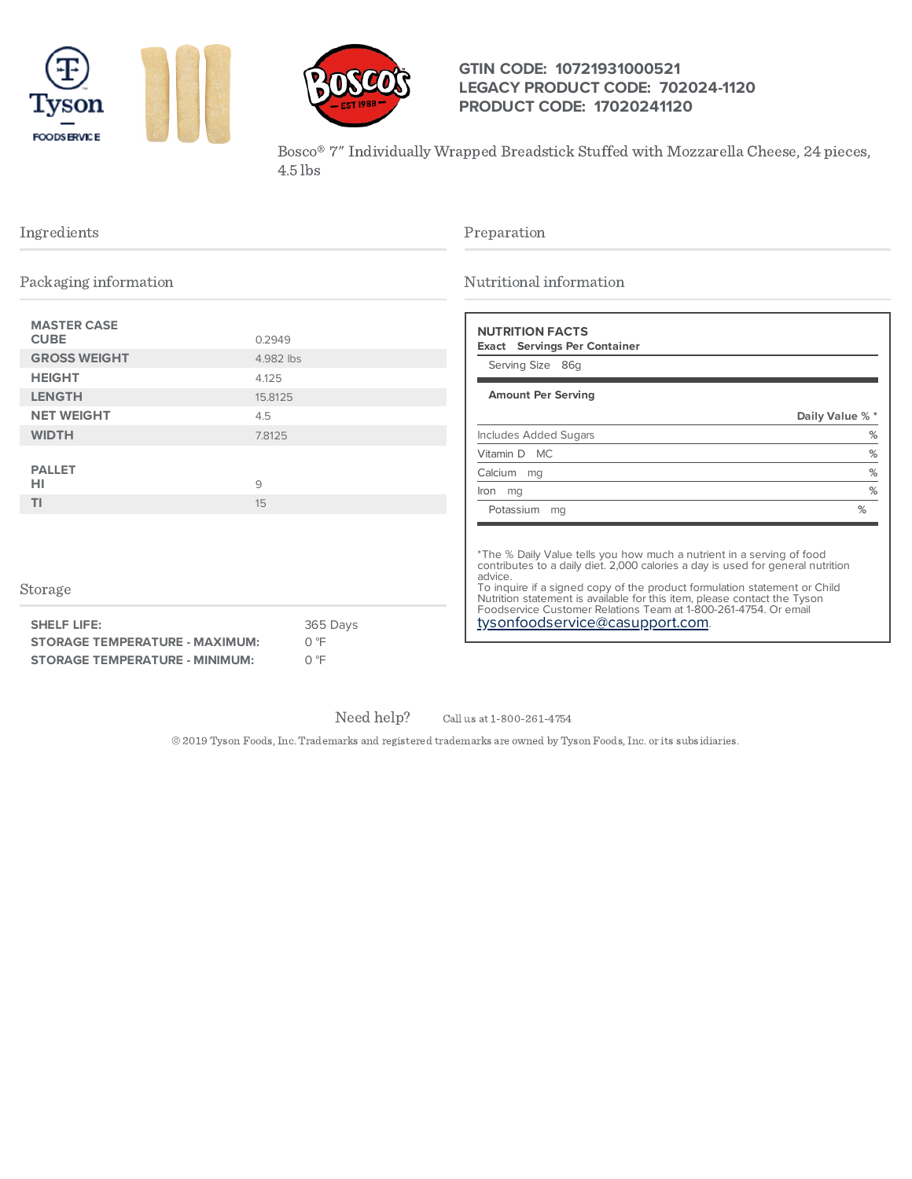





## **GTIN CODE: 10721931000521 LEGACY PRODUCT CODE: 702024-1120 PRODUCT CODE: 17020241120**

Bosco® 7" Individually Wrapped Breadstick Stuffed with Mozzarella Cheese, 24 pieces, 4.5 lbs

| Ingredients<br>Packaging information                                                              |           | Preparation<br>Nutritional information |                                                                                                                                                                                                                                                                                                                                                                                                                                    |                                   |
|---------------------------------------------------------------------------------------------------|-----------|----------------------------------------|------------------------------------------------------------------------------------------------------------------------------------------------------------------------------------------------------------------------------------------------------------------------------------------------------------------------------------------------------------------------------------------------------------------------------------|-----------------------------------|
|                                                                                                   |           |                                        |                                                                                                                                                                                                                                                                                                                                                                                                                                    | <b>MASTER CASE</b><br><b>CUBE</b> |
| <b>GROSS WEIGHT</b>                                                                               | 4.982 lbs |                                        | Serving Size 86g                                                                                                                                                                                                                                                                                                                                                                                                                   |                                   |
| <b>HEIGHT</b>                                                                                     | 4.125     |                                        |                                                                                                                                                                                                                                                                                                                                                                                                                                    |                                   |
| <b>LENGTH</b>                                                                                     | 15.8125   |                                        | <b>Amount Per Serving</b>                                                                                                                                                                                                                                                                                                                                                                                                          |                                   |
| <b>NET WEIGHT</b>                                                                                 | 4.5       |                                        |                                                                                                                                                                                                                                                                                                                                                                                                                                    | Daily Value % *                   |
| <b>WIDTH</b>                                                                                      | 7.8125    |                                        | <b>Includes Added Sugars</b>                                                                                                                                                                                                                                                                                                                                                                                                       | %                                 |
|                                                                                                   |           |                                        | Vitamin D MC                                                                                                                                                                                                                                                                                                                                                                                                                       | %                                 |
| <b>PALLET</b>                                                                                     |           |                                        | Calcium mg                                                                                                                                                                                                                                                                                                                                                                                                                         | $\%$                              |
| HI                                                                                                | 9         |                                        | lron mg                                                                                                                                                                                                                                                                                                                                                                                                                            | $\%$                              |
| <b>TI</b>                                                                                         | 15        |                                        | Potassium mq                                                                                                                                                                                                                                                                                                                                                                                                                       | %                                 |
| Storage<br><b>SHELF LIFE:</b>                                                                     |           | 365 Days<br>0 °F                       | *The % Daily Value tells you how much a nutrient in a serving of food<br>contributes to a daily diet. 2,000 calories a day is used for general nutrition<br>advice.<br>To inquire if a signed copy of the product formulation statement or Child<br>Nutrition statement is available for this item, please contact the Tyson<br>Foodservice Customer Relations Team at 1-800-261-4754. Or email<br>tysonfoodservice@casupport.com. |                                   |
| <b>STORAGE TEMPERATURE - MAXIMUM:</b><br>$O \n\degree F$<br><b>STORAGE TEMPERATURE - MINIMUM:</b> |           |                                        |                                                                                                                                                                                                                                                                                                                                                                                                                                    |                                   |
|                                                                                                   |           |                                        |                                                                                                                                                                                                                                                                                                                                                                                                                                    |                                   |

Need help?

Call us at 1-800-261-4754

© 2019 Tyson Foods,Inc. Trademarks and registered trademarks are owned by Tyson Foods,Inc. or its subsidiaries.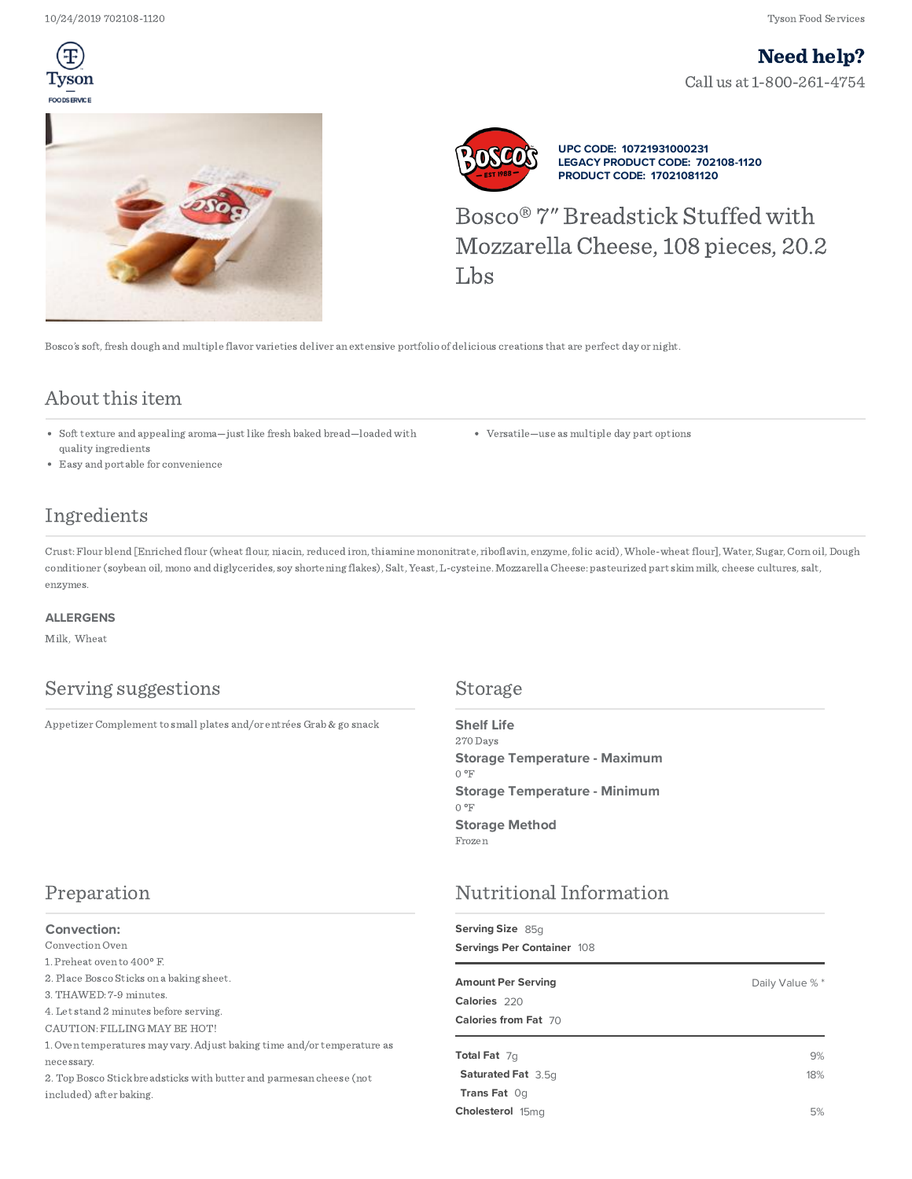Ŧ Tvson FOODSERVICE

Call us at 1-800-261-4754 Need help?





**UPC CODE: 10721931000231 LEGACY PRODUCT CODE: 702108-1120 PRODUCT CODE: 17021081120**

Bosco® 7" Breadstick Stuffed with MozzarellaCheese, 108 pieces, 20.2 Lbs

Bosco's soft,fresh dough and multiple flavor varieties deliver an extensive portfolio of delicious creations that are perfect day or night.

# About this item

- Soft texture and appealing aroma—just like fresh baked bread—loaded with quality ingredients
- Easy and portable for convenience

# Ingredients

Crust:Flour blend [Enriched flour (wheat flour, niacin, reduced iron,thiamine mononitrate, riboflavin, enzyme,folic acid),Whole-wheat flour],Water, Sugar,Corn oil, Dough conditioner (soybean oil, mono and diglycerides, soy shortening flakes), Salt, Yeast, L-cysteine. Mozzarella Cheese: pasteurized part skim milk, cheese cultures, salt, enzymes.

#### **ALLERGENS**

Milk, Wheat

# Serving suggestions Storage

AppetizerComplement to small plates and/or entrées Grab & go snack

# Preparation

#### **Convection:**

## Convection Oven

1. Preheat oven to 400º F.

2. Place Bosco Sticks on a baking sheet.

3.THAWED: 7-9 minutes.

4. Let stand 2 minutes before serving.

CAUTION: FILLING MAY BE HOT!

1. Oven temperatures may vary.Adjust baking time and/or temperature as necessary.

2.Top Bosco Stick breadsticks with butter and parmesan cheese (not included) after baking.

270 Days  $0^{\circ}F$ 0 °F Frozen **Shelf Life Storage Temperature - Maximum Storage Temperature - Minimum Storage Method**

Versatile—use as multiple day part options

# NutritionalInformation

| Serving Size 85q           |                |  |
|----------------------------|----------------|--|
| Servings Per Container 108 |                |  |
| <b>Amount Per Serving</b>  | Daily Value %* |  |
| Calories 220               |                |  |
| Calories from Fat 70       |                |  |
| Total Fat 7q               | 9%             |  |
| <b>Saturated Fat</b> 3.5q  | 18%            |  |
| Trans Fat Og               |                |  |
| Cholesterol 15mg           | 5%             |  |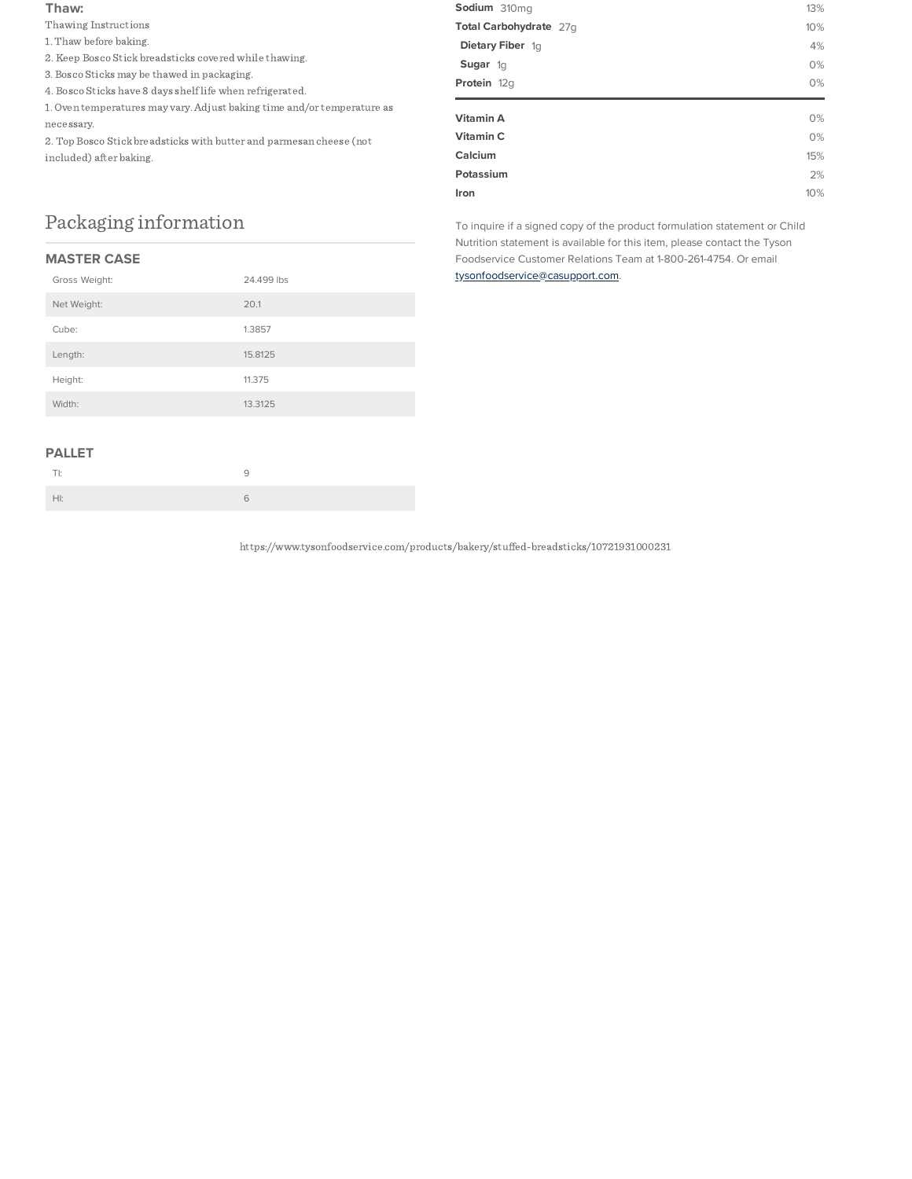#### **Thaw:**

Thawing Instructions

- 1.Thaw before baking.
- 2. Keep Bosco Stick breadsticks covered while thawing.
- 3. Bosco Sticks may be thawed in packaging.
- 4. Bosco Sticks have 8 days shelflife when refrigerated.

1. Oven temperatures may vary.Adjust baking time and/or temperature as necessary.

2.Top Bosco Stick breadsticks with butter and parmesan cheese (not included) after baking.

# Packaging information

### **MASTER CASE**

| Gross Weight: | 24.499 lbs |
|---------------|------------|
| Net Weight:   | 20.1       |
| Cube:         | 1.3857     |
| Length:       | 15.8125    |
| Height:       | 11.375     |
| Width:        | 13.3125    |
|               |            |

# **Sodium** 310mg 13% **Total Carbohydrate** 27g 10% **Dietary Fiber** 1g **4% Sugar** 1g 0% **Protein** 12g 0% **Vitamin A** 0% **Vitamin C** 0% **Calcium** 15% **Potassium** 2% **Iron** 10%

To inquire if a signed copy of the product formulation statement or Child Nutrition statement is available for this item, please contact the Tyson Foodservice Customer Relations Team at 1-800-261-4754. Or email [tysonfoodservice@casupport.com.](mailto:tysonfoodservice@casupport.com)

### **PALLET**

| - |  |
|---|--|

https://www.tysonfoodservice.com/products/bakery/stuffed-breadsticks/10721931000231